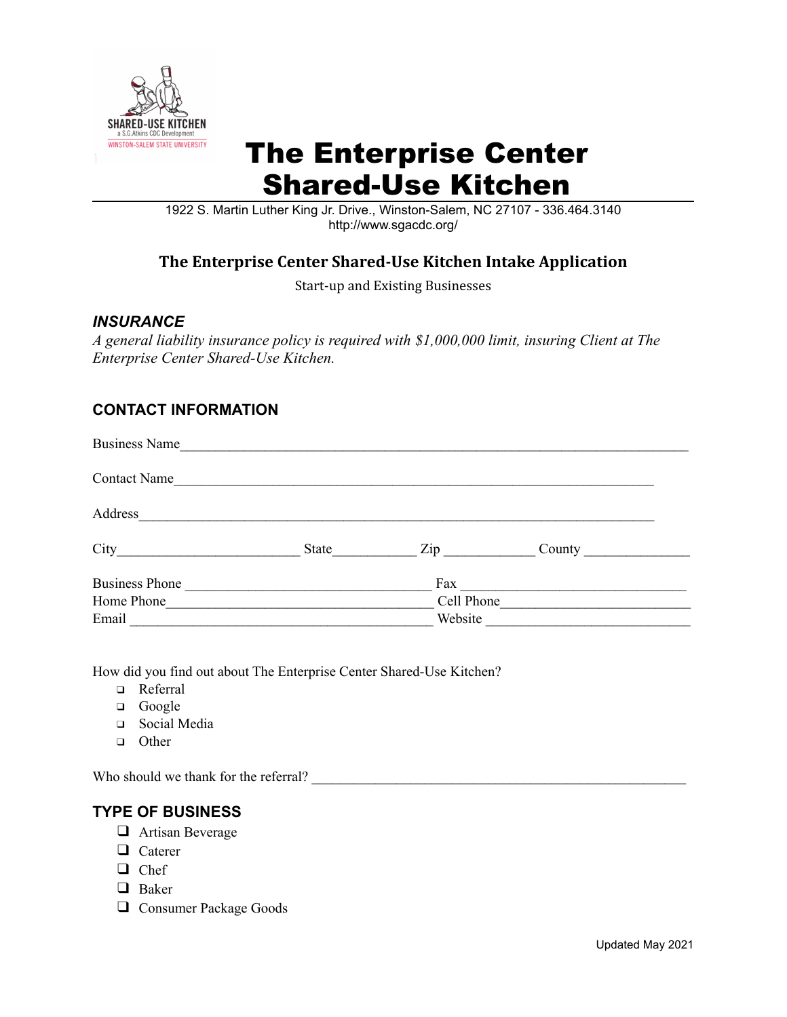

## The Enterprise Center Shared-Use Kitchen

1922 S. Martin Luther King Jr. Drive., Winston-Salem, NC 27107 - 336.464.3140 http://www.sgacdc.org/

## **The Enterprise Center Shared-Use Kitchen Intake Application**

Start-up and Existing Businesses

#### *INSURANCE*

*A general liability insurance policy is required with \$1,000,000 limit, insuring Client at The Enterprise Center Shared-Use Kitchen.*

### **CONTACT INFORMATION**

| <b>Business Name</b>                                  |            |                     |  |  |
|-------------------------------------------------------|------------|---------------------|--|--|
| <b>Contact Name</b>                                   |            |                     |  |  |
| Address                                               |            |                     |  |  |
| City<br><u> 1980 - Jan Barbara, politik politik (</u> | State      | $\mathsf{Zip} \_\_$ |  |  |
| <b>Business Phone</b>                                 |            | Fax                 |  |  |
| Home Phone                                            | Cell Phone |                     |  |  |
| Email                                                 | Website    |                     |  |  |

How did you find out about The Enterprise Center Shared-Use Kitchen?

- ❑ Referral
- ❑ Google
- ❑ Social Media
- ❑ Other

Who should we thank for the referral?

### **TYPE OF BUSINESS**

- ❑ Artisan Beverage
- ❑ Caterer
- ❑ Chef
- ❑ Baker
- ❑ Consumer Package Goods